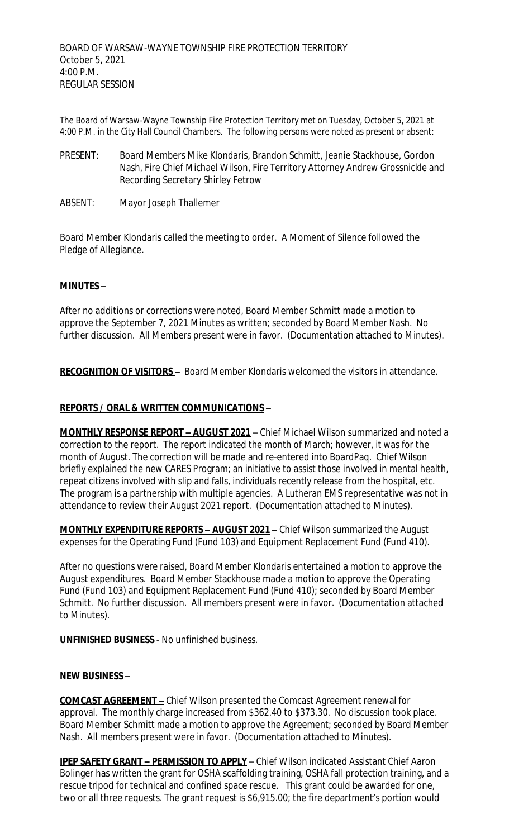The Board of Warsaw-Wayne Township Fire Protection Territory met on Tuesday, October 5, 2021 at 4:00 P.M. in the City Hall Council Chambers. The following persons were noted as present or absent:

- PRESENT: Board Members Mike Klondaris, Brandon Schmitt, Jeanie Stackhouse, Gordon Nash, Fire Chief Michael Wilson, Fire Territory Attorney Andrew Grossnickle and Recording Secretary Shirley Fetrow
- ABSENT: Mayor Joseph Thallemer

Board Member Klondaris called the meeting to order. A Moment of Silence followed the Pledge of Allegiance.

### **MINUTES –**

After no additions or corrections were noted, Board Member Schmitt made a motion to approve the September 7, 2021 Minutes as written; seconded by Board Member Nash. No further discussion. All Members present were in favor. (Documentation attached to Minutes).

**RECOGNITION OF VISITORS –** Board Member Klondaris welcomed the visitors in attendance.

#### **REPORTS / ORAL & WRITTEN COMMUNICATIONS –**

**MONTHLY RESPONSE REPORT – AUGUST 2021** – Chief Michael Wilson summarized and noted a correction to the report. The report indicated the month of March; however, it was for the month of August. The correction will be made and re-entered into BoardPaq. Chief Wilson briefly explained the new CARES Program; an initiative to assist those involved in mental health, repeat citizens involved with slip and falls, individuals recently release from the hospital, etc. The program is a partnership with multiple agencies. A Lutheran EMS representative was not in attendance to review their August 2021 report. (Documentation attached to Minutes).

**MONTHLY EXPENDITURE REPORTS – AUGUST 2021 –** Chief Wilson summarized the August expenses for the Operating Fund (Fund 103) and Equipment Replacement Fund (Fund 410).

After no questions were raised, Board Member Klondaris entertained a motion to approve the August expenditures. Board Member Stackhouse made a motion to approve the Operating Fund (Fund 103) and Equipment Replacement Fund (Fund 410); seconded by Board Member Schmitt. No further discussion. All members present were in favor. (Documentation attached to Minutes).

**UNFINISHED BUSINESS** - No unfinished business.

#### **NEW BUSINESS –**

**COMCAST AGREEMENT –** Chief Wilson presented the Comcast Agreement renewal for approval. The monthly charge increased from \$362.40 to \$373.30. No discussion took place. Board Member Schmitt made a motion to approve the Agreement; seconded by Board Member Nash. All members present were in favor. (Documentation attached to Minutes).

**IPEP SAFETY GRANT – PERMISSION TO APPLY** – Chief Wilson indicated Assistant Chief Aaron Bolinger has written the grant for OSHA scaffolding training, OSHA fall protection training, and a rescue tripod for technical and confined space rescue. This grant could be awarded for one, two or all three requests. The grant request is \$6,915.00; the fire department's portion would